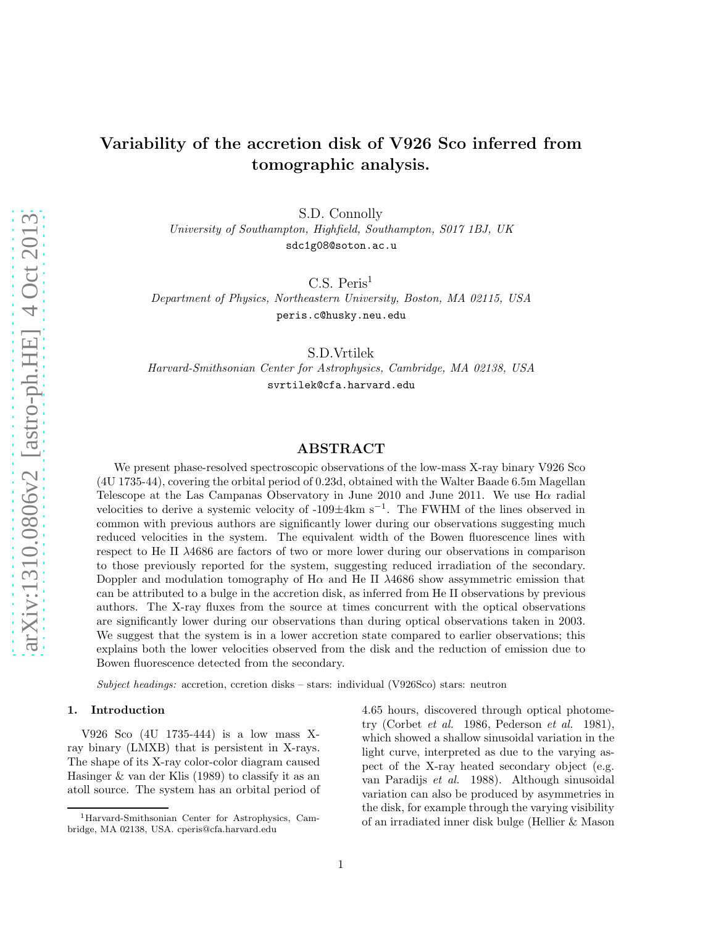# Variability of the accretion disk of V926 Sco inferred from tomographic analysis.

S.D. Connolly

*University of Southampton, Highfield, Southampton, S017 1BJ, UK* sdc1g08@soton.ac.u

 $C.S.$  Peris<sup>1</sup>

*Department of Physics, Northeastern University, Boston, MA 02115, USA* peris.c@husky.neu.edu

S.D.Vrtilek

*Harvard-Smithsonian Center for Astrophysics, Cambridge, MA 02138, USA* svrtilek@cfa.harvard.edu

## ABSTRACT

We present phase-resolved spectroscopic observations of the low-mass X-ray binary V926 Sco (4U 1735-44), covering the orbital period of 0.23d, obtained with the Walter Baade 6.5m Magellan Telescope at the Las Campanas Observatory in June 2010 and June 2011. We use Hα radial velocities to derive a systemic velocity of -109±4km s<sup>−</sup><sup>1</sup> . The FWHM of the lines observed in common with previous authors are significantly lower during our observations suggesting much reduced velocities in the system. The equivalent width of the Bowen fluorescence lines with respect to He II λ4686 are factors of two or more lower during our observations in comparison to those previously reported for the system, suggesting reduced irradiation of the secondary. Doppler and modulation tomography of Hα and He II λ4686 show assymmetric emission that can be attributed to a bulge in the accretion disk, as inferred from He II observations by previous authors. The X-ray fluxes from the source at times concurrent with the optical observations are significantly lower during our observations than during optical observations taken in 2003. We suggest that the system is in a lower accretion state compared to earlier observations; this explains both the lower velocities observed from the disk and the reduction of emission due to Bowen fluorescence detected from the secondary.

Subject headings: accretion, ccretion disks – stars: individual (V926Sco) stars: neutron

#### 1. Introduction

V926 Sco (4U 1735-444) is a low mass Xray binary (LMXB) that is persistent in X-rays. The shape of its X-ray color-color diagram caused Hasinger & van der Klis (1989) to classify it as an atoll source. The system has an orbital period of 4.65 hours, discovered through optical photometry (Corbet *et al.* 1986, Pederson *et al.* 1981), which showed a shallow sinusoidal variation in the light curve, interpreted as due to the varying aspect of the X-ray heated secondary object (e.g. van Paradijs *et al.* 1988). Although sinusoidal variation can also be produced by asymmetries in the disk, for example through the varying visibility of an irradiated inner disk bulge (Hellier & Mason

<sup>1</sup>Harvard-Smithsonian Center for Astrophysics, Cambridge, MA 02138, USA. cperis@cfa.harvard.edu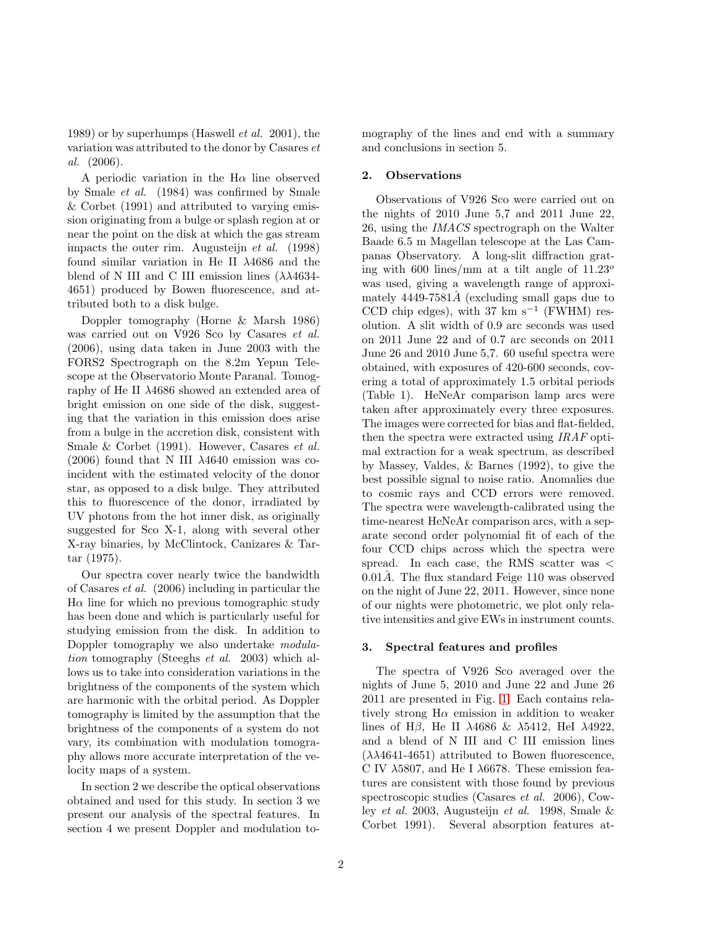1989) or by superhumps (Haswell *et al.* 2001), the variation was attributed to the donor by Casares *et al.* (2006).

A periodic variation in the  $H\alpha$  line observed by Smale *et al.* (1984) was confirmed by Smale & Corbet (1991) and attributed to varying emission originating from a bulge or splash region at or near the point on the disk at which the gas stream impacts the outer rim. Augusteijn *et al.* (1998) found similar variation in He II λ4686 and the blend of N III and C III emission lines  $(\lambda \lambda 4634 -$ 4651) produced by Bowen fluorescence, and attributed both to a disk bulge.

Doppler tomography (Horne & Marsh 1986) was carried out on V926 Sco by Casares *et al.* (2006), using data taken in June 2003 with the FORS2 Spectrograph on the 8.2m Yepun Telescope at the Observatorio Monte Paranal. Tomography of He II λ4686 showed an extended area of bright emission on one side of the disk, suggesting that the variation in this emission does arise from a bulge in the accretion disk, consistent with Smale & Corbet (1991). However, Casares *et al.* (2006) found that N III  $\lambda$ 4640 emission was coincident with the estimated velocity of the donor star, as opposed to a disk bulge. They attributed this to fluorescence of the donor, irradiated by UV photons from the hot inner disk, as originally suggested for Sco X-1, along with several other X-ray binaries, by McClintock, Canizares & Tartar (1975).

Our spectra cover nearly twice the bandwidth of Casares *et al.* (2006) including in particular the  $H\alpha$  line for which no previous tomographic study has been done and which is particularly useful for studying emission from the disk. In addition to Doppler tomography we also undertake *modulation* tomography (Steeghs *et al.* 2003) which allows us to take into consideration variations in the brightness of the components of the system which are harmonic with the orbital period. As Doppler tomography is limited by the assumption that the brightness of the components of a system do not vary, its combination with modulation tomography allows more accurate interpretation of the velocity maps of a system.

In section 2 we describe the optical observations obtained and used for this study. In section 3 we present our analysis of the spectral features. In section 4 we present Doppler and modulation tomography of the lines and end with a summary and conclusions in section 5.

## 2. Observations

Observations of V926 Sco were carried out on the nights of 2010 June 5,7 and 2011 June 22, 26, using the *IMACS* spectrograph on the Walter Baade 6.5 m Magellan telescope at the Las Campanas Observatory. A long-slit diffraction grating with 600 lines/mm at a tilt angle of  $11.23^{\circ}$ was used, giving a wavelength range of approximately  $4449-7581\AA$  (excluding small gaps due to CCD chip edges), with 37 km s−<sup>1</sup> (FWHM) resolution. A slit width of 0.9 arc seconds was used on 2011 June 22 and of 0.7 arc seconds on 2011 June 26 and 2010 June 5,7. 60 useful spectra were obtained, with exposures of 420-600 seconds, covering a total of approximately 1.5 orbital periods (Table 1). HeNeAr comparison lamp arcs were taken after approximately every three exposures. The images were corrected for bias and flat-fielded, then the spectra were extracted using *IRAF* optimal extraction for a weak spectrum, as described by Massey, Valdes, & Barnes (1992), to give the best possible signal to noise ratio. Anomalies due to cosmic rays and CCD errors were removed. The spectra were wavelength-calibrated using the time-nearest HeNeAr comparison arcs, with a separate second order polynomial fit of each of the four CCD chips across which the spectra were spread. In each case, the RMS scatter was <  $0.01\AA$ . The flux standard Feige 110 was observed on the night of June 22, 2011. However, since none of our nights were photometric, we plot only relative intensities and give EWs in instrument counts.

### 3. Spectral features and profiles

The spectra of V926 Sco averaged over the nights of June 5, 2010 and June 22 and June 26 2011 are presented in Fig. [1.](#page-2-0) Each contains relatively strong  $H\alpha$  emission in addition to weaker lines of H $\beta$ , He II  $\lambda$ 4686 &  $\lambda$ 5412, HeI  $\lambda$ 4922, and a blend of N III and C III emission lines  $(\lambda \lambda 4641 - 4651)$  attributed to Bowen fluorescence, C IV  $\lambda$ 5807, and He I  $\lambda$ 6678. These emission features are consistent with those found by previous spectroscopic studies (Casares *et al.* 2006), Cowley *et al.* 2003, Augusteijn *et al.* 1998, Smale & Corbet 1991). Several absorption features at-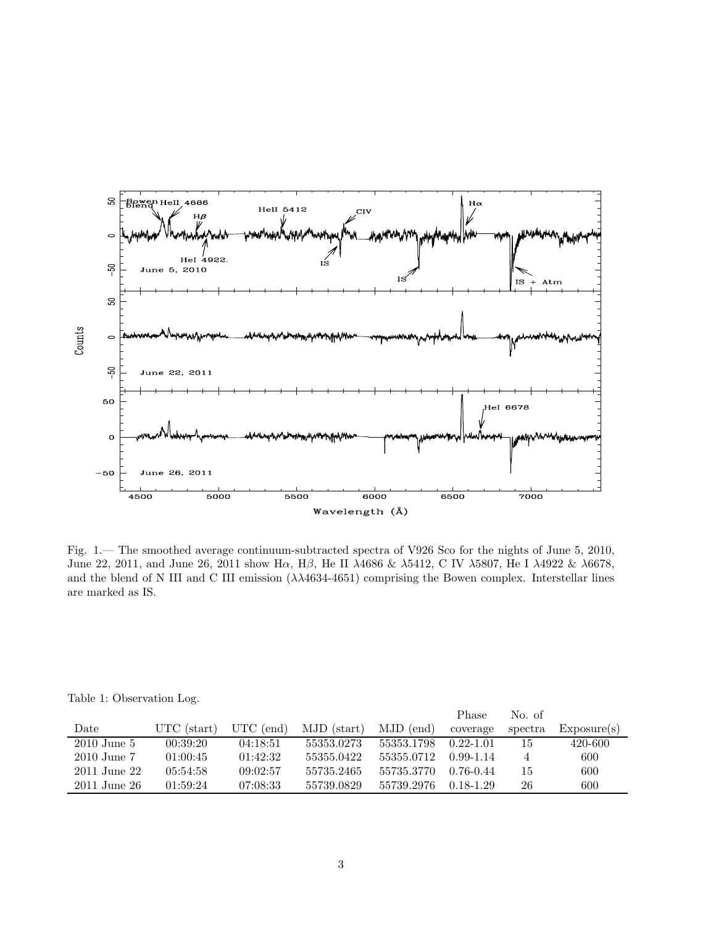

<span id="page-2-0"></span>Fig. 1.— The smoothed average continuum-subtracted spectra of V926 Sco for the nights of June 5, 2010, June 22, 2011, and June 26, 2011 show Hα, Hβ, He II λ4686 & λ5412, C IV λ5807, He I λ4922 & λ6678, and the blend of N III and C III emission  $(\lambda\lambda 4634-4651)$  comprising the Bowen complex. Interstellar lines are marked as IS.

|  |  | Table 1: Observation Log. |  |
|--|--|---------------------------|--|
|--|--|---------------------------|--|

|                 |             |             |             |            | Phase         | No. of  |             |
|-----------------|-------------|-------------|-------------|------------|---------------|---------|-------------|
| Date            | UTC (start) | $UTC$ (end) | MJD (start) | MJD (end)  | coverage      | spectra | Exposure(s) |
| $2010$ June 5   | 00:39:20    | 04:18:51    | 55353.0273  | 55353.1798 | $0.22 - 1.01$ | 15      | 420-600     |
| $2010$ June $7$ | 01:00:45    | 01:42:32    | 55355.0422  | 55355.0712 | $0.99 - 1.14$ | 4       | 600         |
| 2011 June 22    | 05:54:58    | 09:02:57    | 55735.2465  | 55735.3770 | $0.76 - 0.44$ | 15      | 600         |
| 2011 June 26    | 01:59:24    | 07:08:33    | 55739.0829  | 55739.2976 | 0.18-1.29     | 26      | 600         |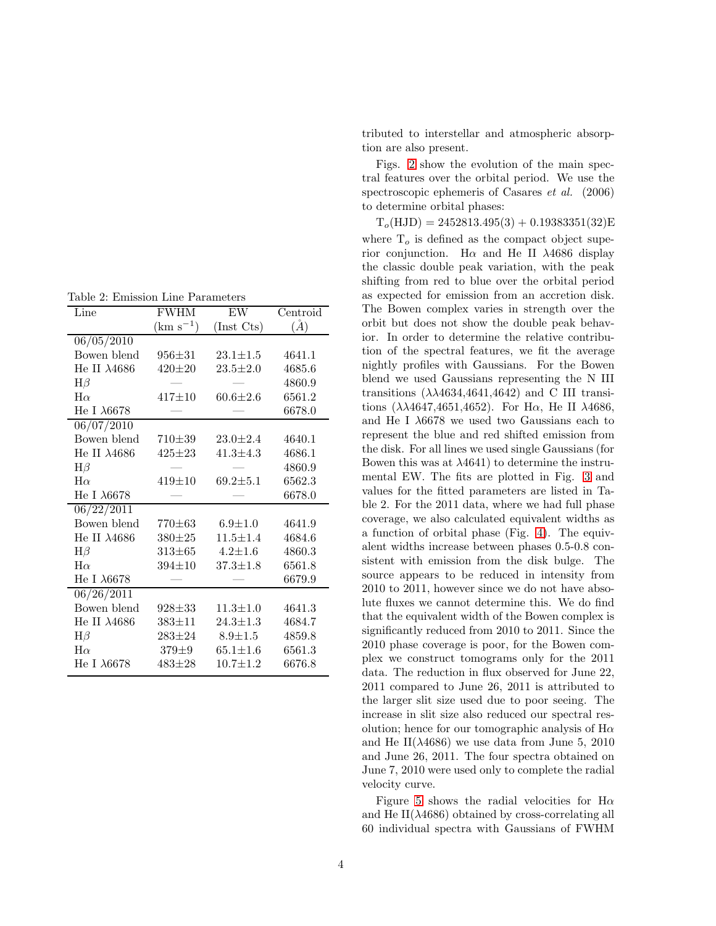| Line                 | <b>FWHM</b>   | EW             | Centroid |  |
|----------------------|---------------|----------------|----------|--|
|                      | $(km s^{-1})$ | (Inst Cts)     | $(\AA)$  |  |
| 06/05/2010           |               |                |          |  |
| Bowen blend          | $956 \pm 31$  | $23.1 \pm 1.5$ | 4641.1   |  |
| He II $\lambda4686$  | $420 \pm 20$  | $23.5 \pm 2.0$ | 4685.6   |  |
| $H\beta$             |               |                | 4860.9   |  |
| $H\alpha$            | $417 + 10$    | $60.6 \pm 2.6$ | 6561.2   |  |
| He I $\lambda$ 6678  |               |                | 6678.0   |  |
| 06/07/2010           |               |                |          |  |
| Bowen blend          | $710 + 39$    | $23.0 \pm 2.4$ | 4640.1   |  |
| He II $\lambda4686$  | $425 \pm 23$  | $41.3 \pm 4.3$ | 4686.1   |  |
| $H\beta$             |               |                | 4860.9   |  |
| $H\alpha$            | $419 + 10$    | $69.2 \pm 5.1$ | 6562.3   |  |
| He I $\lambda$ 6678  |               |                | 6678.0   |  |
| 06/22/2011           |               |                |          |  |
| Bowen blend          | 770 $\pm 63$  | $6.9 + 1.0$    | 4641.9   |  |
| He II $\lambda$ 4686 | $380 \pm 25$  | $11.5 \pm 1.4$ | 4684.6   |  |
| $H\beta$             | $313\pm 65$   | $4.2 \pm 1.6$  | 4860.3   |  |
| $H\alpha$            | $394 \pm 10$  | $37.3 \pm 1.8$ | 6561.8   |  |
| He I $\lambda6678$   |               |                | 6679.9   |  |
| 06/26/2011           |               |                |          |  |
| Bowen blend          | $928 \pm 33$  | $11.3 \pm 1.0$ | 4641.3   |  |
| He II $\lambda4686$  | $383 \pm 11$  | $24.3 \pm 1.3$ | 4684.7   |  |
| $H\beta$             | $283 \pm 24$  | $8.9 \pm 1.5$  | 4859.8   |  |
| $H\alpha$            | $379 \pm 9$   | $65.1 \pm 1.6$ | 6561.3   |  |
| He I $\lambda$ 6678  | $483 \pm 28$  | $10.7 \pm 1.2$ | 6676.8   |  |
|                      |               |                |          |  |

tributed to interstellar and atmospheric absorption are also present.

Figs. [2](#page-5-0) show the evolution of the main spectral features over the orbital period. We use the spectroscopic ephemeris of Casares *et al.* (2006) to determine orbital phases:

 $T_o(HJD) = 2452813.495(3) + 0.19383351(32)E$ where  $T<sub>o</sub>$  is defined as the compact object superior conjunction. H $\alpha$  and He II  $\lambda$ 4686 display the classic double peak variation, with the peak shifting from red to blue over the orbital period as expected for emission from an accretion disk. The Bowen complex varies in strength over the orbit but does not show the double peak behavior. In order to determine the relative contribution of the spectral features, we fit the average nightly profiles with Gaussians. For the Bowen blend we used Gaussians representing the N III transitions  $(\lambda \lambda 4634, 4641, 4642)$  and C III transitions  $(\lambda \lambda 4647, 4651, 4652)$ . For H $\alpha$ , He II  $\lambda 4686$ , and He I λ6678 we used two Gaussians each to represent the blue and red shifted emission from the disk. For all lines we used single Gaussians (for Bowen this was at  $\lambda$ 4641) to determine the instrumental EW. The fits are plotted in Fig. [3](#page-6-0) and values for the fitted parameters are listed in Table 2. For the 2011 data, where we had full phase coverage, we also calculated equivalent widths as a function of orbital phase (Fig. [4\)](#page-9-0). The equivalent widths increase between phases 0.5-0.8 consistent with emission from the disk bulge. The source appears to be reduced in intensity from 2010 to 2011, however since we do not have absolute fluxes we cannot determine this. We do find that the equivalent width of the Bowen complex is significantly reduced from 2010 to 2011. Since the 2010 phase coverage is poor, for the Bowen complex we construct tomograms only for the 2011 data. The reduction in flux observed for June 22, 2011 compared to June 26, 2011 is attributed to the larger slit size used due to poor seeing. The increase in slit size also reduced our spectral resolution; hence for our tomographic analysis of  $H\alpha$ and He II( $\lambda$ 4686) we use data from June 5, 2010 and June 26, 2011. The four spectra obtained on June 7, 2010 were used only to complete the radial velocity curve.

Figure [5](#page-9-1) shows the radial velocities for H $\alpha$ and He II( $\lambda$ 4686) obtained by cross-correlating all 60 individual spectra with Gaussians of FWHM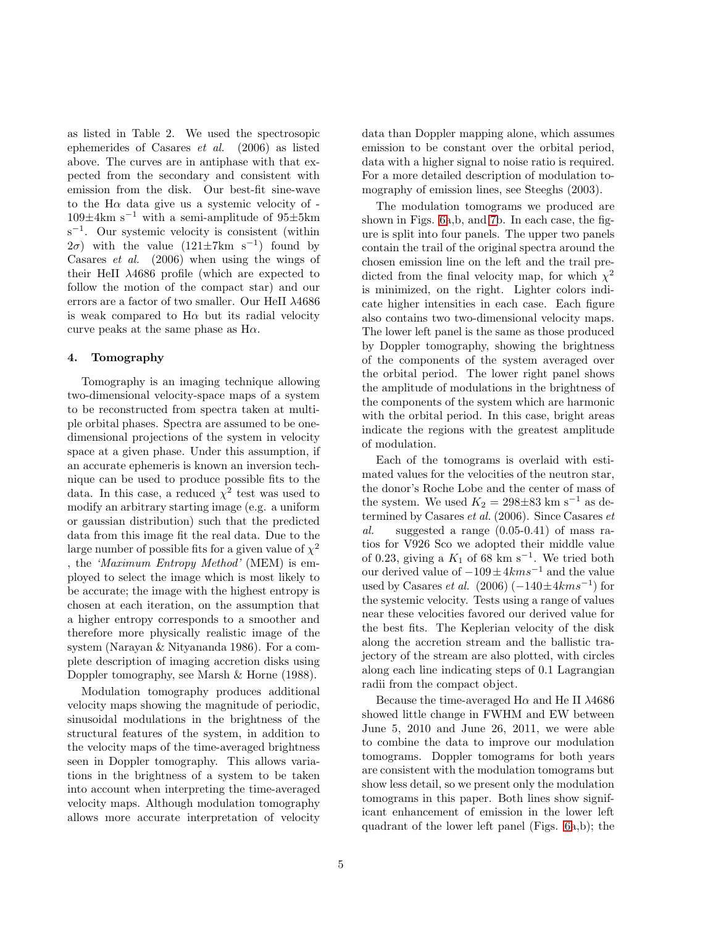as listed in Table 2. We used the spectrosopic ephemerides of Casares *et al.* (2006) as listed above. The curves are in antiphase with that expected from the secondary and consistent with emission from the disk. Our best-fit sine-wave to the  $H\alpha$  data give us a systemic velocity of - $109\pm4\mathrm{km}~\mathrm{s}^{-1}$  with a semi-amplitude of  $95\pm5\mathrm{km}$ s<sup>-1</sup>. Our systemic velocity is consistent (within  $(2\sigma)$  with the value  $(121 \pm 7 \text{km s}^{-1})$  found by Casares *et al.* (2006) when using the wings of their HeII λ4686 profile (which are expected to follow the motion of the compact star) and our errors are a factor of two smaller. Our HeII λ4686 is weak compared to  $H\alpha$  but its radial velocity curve peaks at the same phase as  $H\alpha$ .

# 4. Tomography

Tomography is an imaging technique allowing two-dimensional velocity-space maps of a system to be reconstructed from spectra taken at multiple orbital phases. Spectra are assumed to be onedimensional projections of the system in velocity space at a given phase. Under this assumption, if an accurate ephemeris is known an inversion technique can be used to produce possible fits to the data. In this case, a reduced  $\chi^2$  test was used to modify an arbitrary starting image (e.g. a uniform or gaussian distribution) such that the predicted data from this image fit the real data. Due to the large number of possible fits for a given value of  $\chi^2$ , the *'Maximum Entropy Method'* (MEM) is employed to select the image which is most likely to be accurate; the image with the highest entropy is chosen at each iteration, on the assumption that a higher entropy corresponds to a smoother and therefore more physically realistic image of the system (Narayan & Nityananda 1986). For a complete description of imaging accretion disks using Doppler tomography, see Marsh & Horne (1988).

Modulation tomography produces additional velocity maps showing the magnitude of periodic, sinusoidal modulations in the brightness of the structural features of the system, in addition to the velocity maps of the time-averaged brightness seen in Doppler tomography. This allows variations in the brightness of a system to be taken into account when interpreting the time-averaged velocity maps. Although modulation tomography allows more accurate interpretation of velocity

data than Doppler mapping alone, which assumes emission to be constant over the orbital period, data with a higher signal to noise ratio is required. For a more detailed description of modulation tomography of emission lines, see Steeghs (2003).

The modulation tomograms we produced are shown in Figs. [6a](#page-7-0),b, and [7b](#page-8-0). In each case, the figure is split into four panels. The upper two panels contain the trail of the original spectra around the chosen emission line on the left and the trail predicted from the final velocity map, for which  $\chi^2$ is minimized, on the right. Lighter colors indicate higher intensities in each case. Each figure also contains two two-dimensional velocity maps. The lower left panel is the same as those produced by Doppler tomography, showing the brightness of the components of the system averaged over the orbital period. The lower right panel shows the amplitude of modulations in the brightness of the components of the system which are harmonic with the orbital period. In this case, bright areas indicate the regions with the greatest amplitude of modulation.

Each of the tomograms is overlaid with estimated values for the velocities of the neutron star, the donor's Roche Lobe and the center of mass of the system. We used  $K_2 = 298 \pm 83$  km s<sup>-1</sup> as determined by Casares *et al.* (2006). Since Casares *et al.* suggested a range (0.05-0.41) of mass ratios for V926 Sco we adopted their middle value of 0.23, giving a  $K_1$  of 68 km s<sup>-1</sup>. We tried both our derived value of  $-109 \pm 4km s^{-1}$  and the value used by Casares *et al.*  $(2006) (-140 \pm 4km s^{-1})$  for the systemic velocity. Tests using a range of values near these velocities favored our derived value for the best fits. The Keplerian velocity of the disk along the accretion stream and the ballistic trajectory of the stream are also plotted, with circles along each line indicating steps of 0.1 Lagrangian radii from the compact object.

Because the time-averaged  $H\alpha$  and He II  $\lambda$ 4686 showed little change in FWHM and EW between June 5, 2010 and June 26, 2011, we were able to combine the data to improve our modulation tomograms. Doppler tomograms for both years are consistent with the modulation tomograms but show less detail, so we present only the modulation tomograms in this paper. Both lines show significant enhancement of emission in the lower left quadrant of the lower left panel (Figs. [6a](#page-7-0),b); the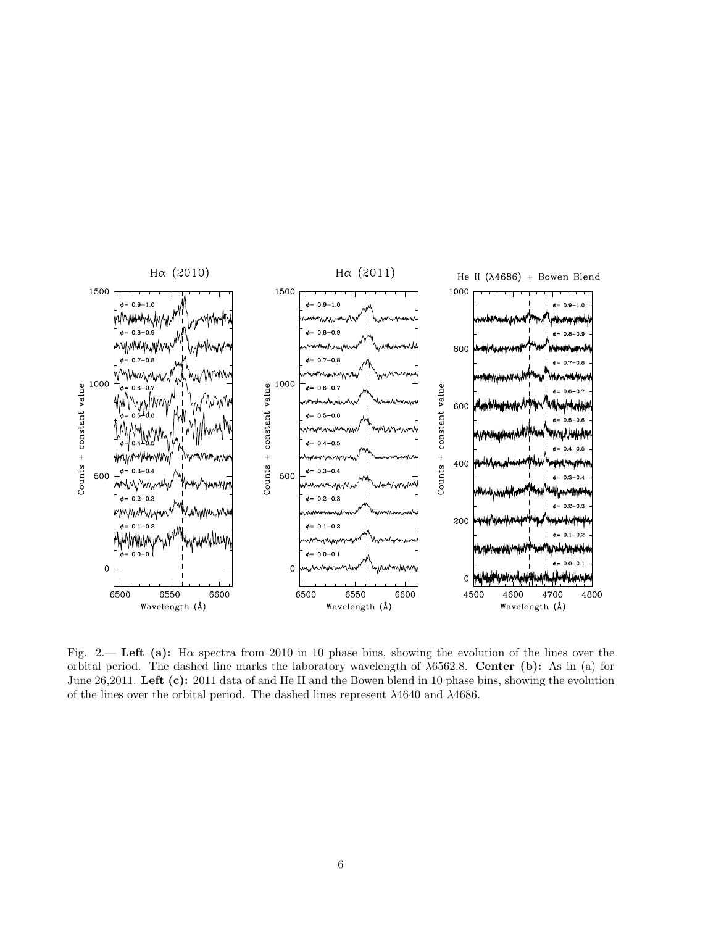

<span id="page-5-0"></span>Fig. 2.— Left (a): H $\alpha$  spectra from 2010 in 10 phase bins, showing the evolution of the lines over the orbital period. The dashed line marks the laboratory wavelength of  $\lambda$ 6562.8. Center (b): As in (a) for June 26,2011. Left (c): 2011 data of and He II and the Bowen blend in 10 phase bins, showing the evolution of the lines over the orbital period. The dashed lines represent  $\lambda 4640$  and  $\lambda 4686$ .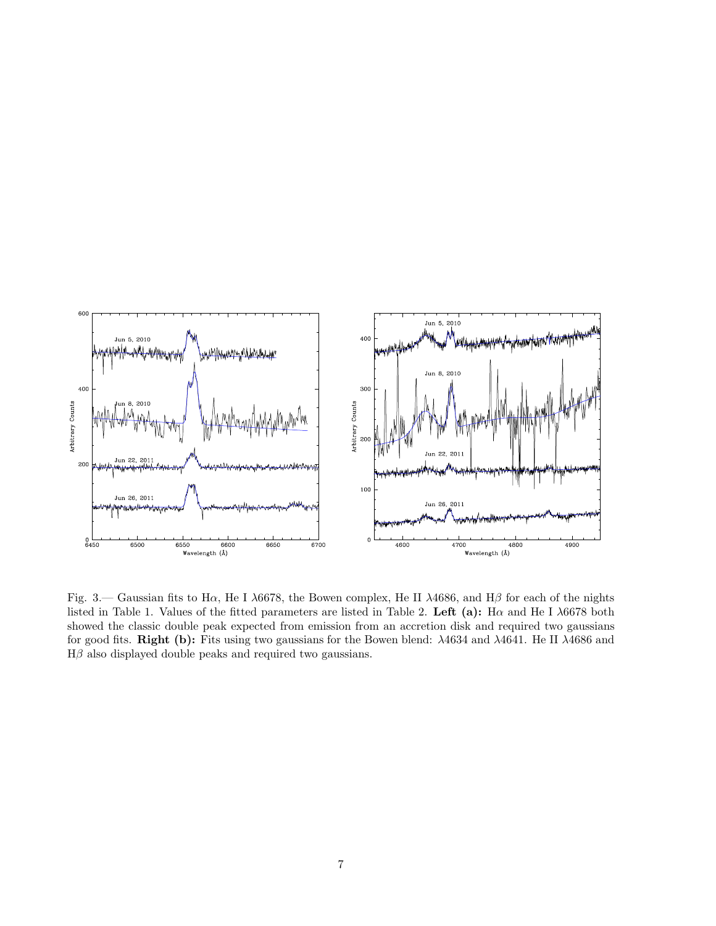

<span id="page-6-0"></span>Fig. 3.— Gaussian fits to H $\alpha$ , He I  $\lambda$ 6678, the Bowen complex, He II  $\lambda$ 4686, and H $\beta$  for each of the nights listed in Table 1. Values of the fitted parameters are listed in Table 2. Left (a): H $\alpha$  and He I  $\lambda$ 6678 both showed the classic double peak expected from emission from an accretion disk and required two gaussians for good fits. Right (b): Fits using two gaussians for the Bowen blend: λ4634 and λ4641. He II λ4686 and  $H\beta$  also displayed double peaks and required two gaussians.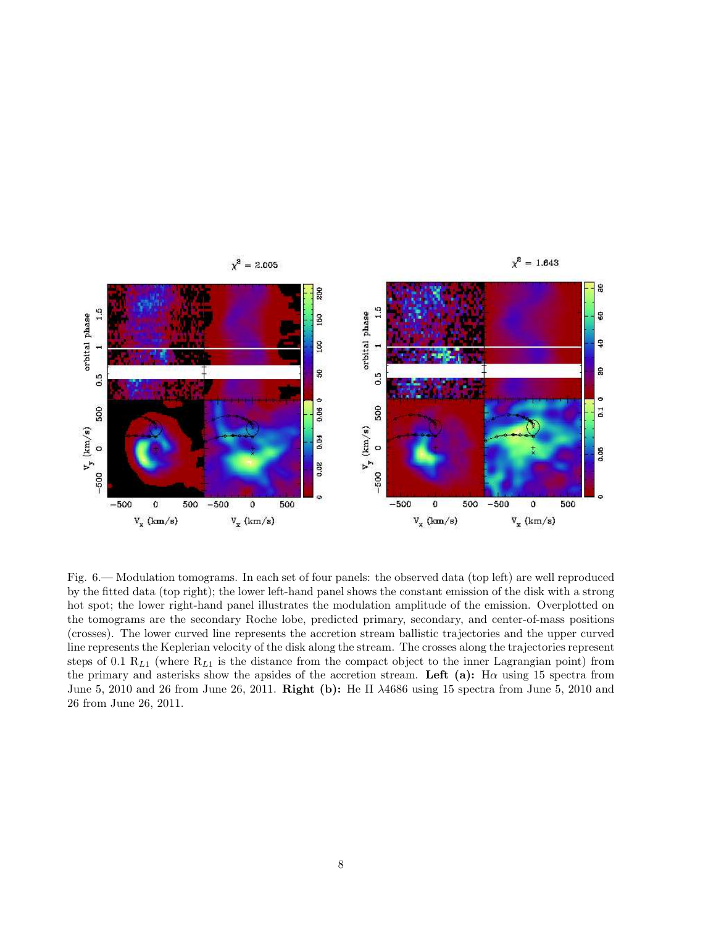

<span id="page-7-0"></span>Fig. 6.— Modulation tomograms. In each set of four panels: the observed data (top left) are well reproduced by the fitted data (top right); the lower left-hand panel shows the constant emission of the disk with a strong hot spot; the lower right-hand panel illustrates the modulation amplitude of the emission. Overplotted on the tomograms are the secondary Roche lobe, predicted primary, secondary, and center-of-mass positions (crosses). The lower curved line represents the accretion stream ballistic trajectories and the upper curved line represents the Keplerian velocity of the disk along the stream. The crosses along the trajectories represent steps of 0.1  $R_{L1}$  (where  $R_{L1}$  is the distance from the compact object to the inner Lagrangian point) from the primary and asterisks show the apsides of the accretion stream. Left (a): H $\alpha$  using 15 spectra from June 5, 2010 and 26 from June 26, 2011. Right (b): He II λ4686 using 15 spectra from June 5, 2010 and 26 from June 26, 2011.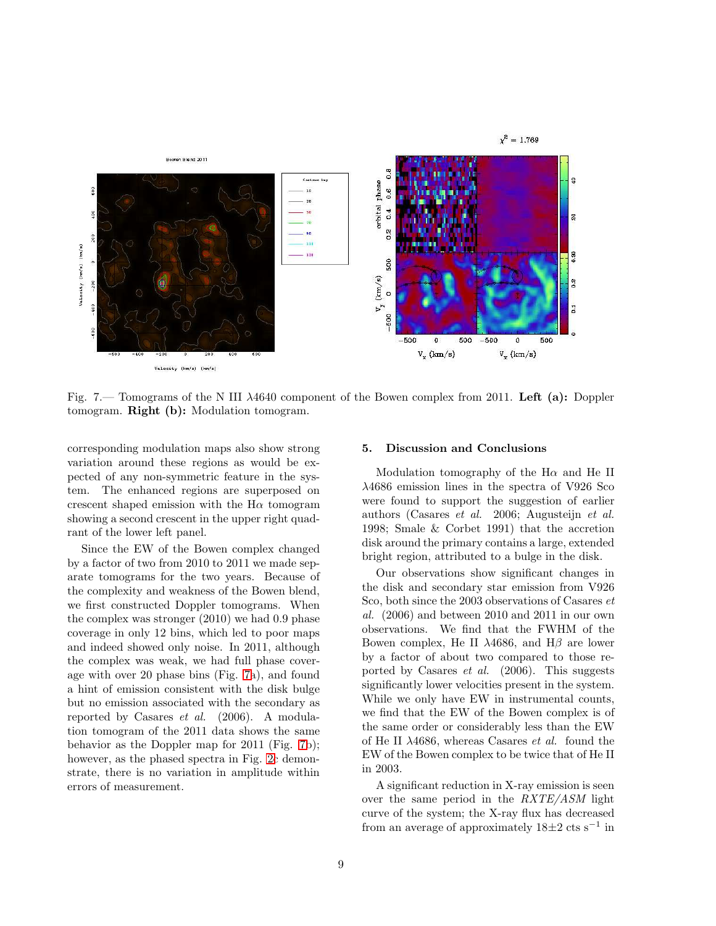

<span id="page-8-0"></span>Fig. 7.— Tomograms of the N III λ4640 component of the Bowen complex from 2011. Left (a): Doppler tomogram. Right (b): Modulation tomogram.

corresponding modulation maps also show strong variation around these regions as would be expected of any non-symmetric feature in the system. The enhanced regions are superposed on crescent shaped emission with the  $H\alpha$  tomogram showing a second crescent in the upper right quadrant of the lower left panel.

Since the EW of the Bowen complex changed by a factor of two from 2010 to 2011 we made separate tomograms for the two years. Because of the complexity and weakness of the Bowen blend, we first constructed Doppler tomograms. When the complex was stronger (2010) we had 0.9 phase coverage in only 12 bins, which led to poor maps and indeed showed only noise. In 2011, although the complex was weak, we had full phase coverage with over 20 phase bins (Fig. [7a](#page-8-0)), and found a hint of emission consistent with the disk bulge but no emission associated with the secondary as reported by Casares *et al.* (2006). A modulation tomogram of the 2011 data shows the same behavior as the Doppler map for 2011 (Fig. [7b](#page-8-0)); however, as the phased spectra in Fig. [2c](#page-5-0) demonstrate, there is no variation in amplitude within errors of measurement.

#### 5. Discussion and Conclusions

Modulation tomography of the  $H\alpha$  and He II λ4686 emission lines in the spectra of V926 Sco were found to support the suggestion of earlier authors (Casares *et al.* 2006; Augusteijn *et al.* 1998; Smale & Corbet 1991) that the accretion disk around the primary contains a large, extended bright region, attributed to a bulge in the disk.

Our observations show significant changes in the disk and secondary star emission from V926 Sco, both since the 2003 observations of Casares *et al.* (2006) and between 2010 and 2011 in our own observations. We find that the FWHM of the Bowen complex, He II  $\lambda$ 4686, and H $\beta$  are lower by a factor of about two compared to those reported by Casares *et al.* (2006). This suggests significantly lower velocities present in the system. While we only have EW in instrumental counts, we find that the EW of the Bowen complex is of the same order or considerably less than the EW of He II λ4686, whereas Casares *et al.* found the EW of the Bowen complex to be twice that of He II in 2003.

A significant reduction in X-ray emission is seen over the same period in the *RXTE/ASM* light curve of the system; the X-ray flux has decreased from an average of approximately  $18\pm2$  cts s<sup>-1</sup> in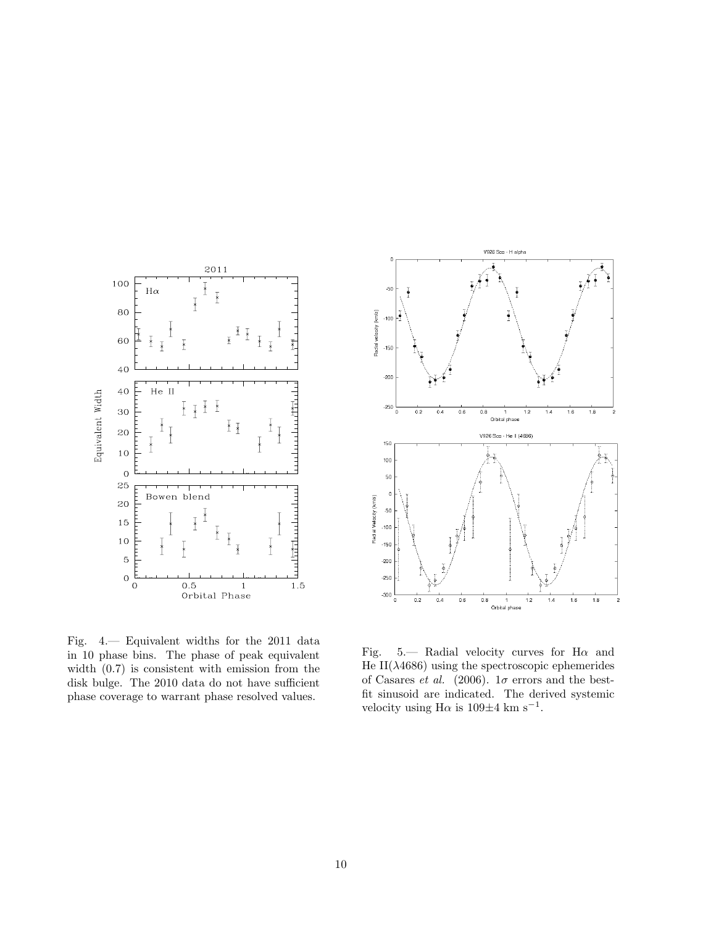

<span id="page-9-0"></span>Fig. 4.— Equivalent widths for the 2011 data in 10 phase bins. The phase of peak equivalent width (0.7) is consistent with emission from the disk bulge. The 2010 data do not have sufficient phase coverage to warrant phase resolved values.



<span id="page-9-1"></span>Fig. 5.— Radial velocity curves for  $H\alpha$  and He II( $\lambda$ 4686) using the spectroscopic ephemerides of Casares *et al.* (2006).  $1\sigma$  errors and the bestfit sinusoid are indicated. The derived systemic velocity using  $H\alpha$  is 109 $\pm$ 4 km s<sup>-1</sup>.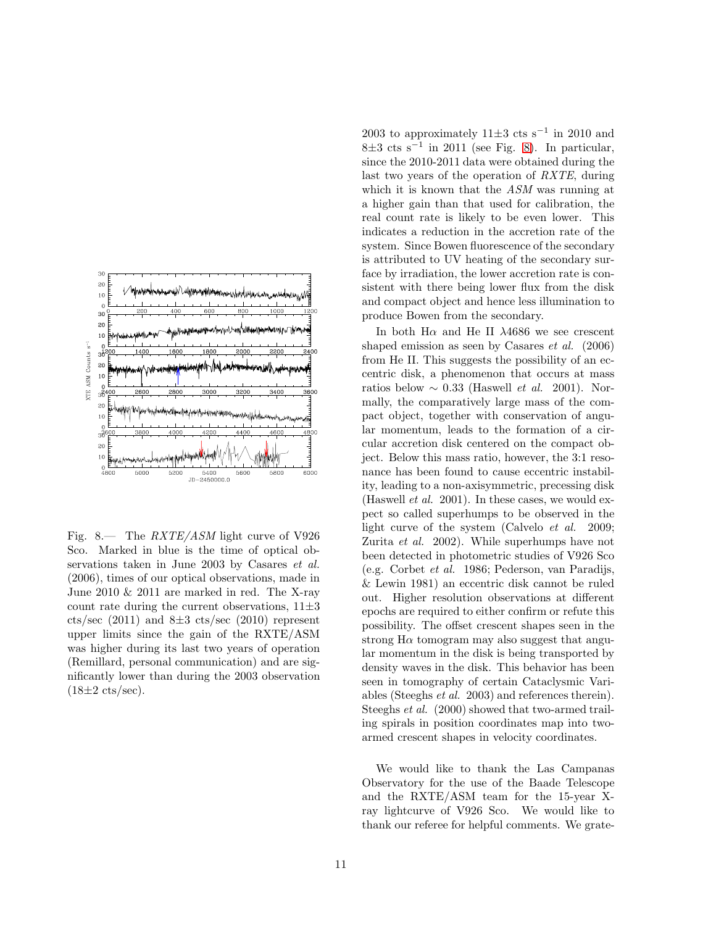

<span id="page-10-0"></span>Fig. 8.— The *RXTE/ASM* light curve of V926 Sco. Marked in blue is the time of optical observations taken in June 2003 by Casares *et al.* (2006), times of our optical observations, made in June 2010 & 2011 are marked in red. The X-ray count rate during the current observations,  $11\pm3$ cts/sec  $(2011)$  and  $8\pm3$  cts/sec  $(2010)$  represent upper limits since the gain of the RXTE/ASM was higher during its last two years of operation (Remillard, personal communication) and are significantly lower than during the 2003 observation  $(18\pm2 \text{ cts/sec}).$ 

2003 to approximately  $11\pm3$  cts s<sup>-1</sup> in 2010 and 8±3 cts s−<sup>1</sup> in 2011 (see Fig. [8\)](#page-10-0). In particular, since the 2010-2011 data were obtained during the last two years of the operation of *RXTE*, during which it is known that the *ASM* was running at a higher gain than that used for calibration, the real count rate is likely to be even lower. This indicates a reduction in the accretion rate of the system. Since Bowen fluorescence of the secondary is attributed to UV heating of the secondary surface by irradiation, the lower accretion rate is consistent with there being lower flux from the disk and compact object and hence less illumination to produce Bowen from the secondary.

In both  $H\alpha$  and He II  $\lambda$ 4686 we see crescent shaped emission as seen by Casares *et al.* (2006) from He II. This suggests the possibility of an eccentric disk, a phenomenon that occurs at mass ratios below  $\sim 0.33$  (Haswell *et al.* 2001). Normally, the comparatively large mass of the compact object, together with conservation of angular momentum, leads to the formation of a circular accretion disk centered on the compact object. Below this mass ratio, however, the 3:1 resonance has been found to cause eccentric instability, leading to a non-axisymmetric, precessing disk (Haswell *et al.* 2001). In these cases, we would expect so called superhumps to be observed in the light curve of the system (Calvelo *et al.* 2009; Zurita *et al.* 2002). While superhumps have not been detected in photometric studies of V926 Sco (e.g. Corbet *et al.* 1986; Pederson, van Paradijs, & Lewin 1981) an eccentric disk cannot be ruled out. Higher resolution observations at different epochs are required to either confirm or refute this possibility. The offset crescent shapes seen in the strong  $H\alpha$  tomogram may also suggest that angular momentum in the disk is being transported by density waves in the disk. This behavior has been seen in tomography of certain Cataclysmic Variables (Steeghs *et al.* 2003) and references therein). Steeghs *et al.* (2000) showed that two-armed trailing spirals in position coordinates map into twoarmed crescent shapes in velocity coordinates.

We would like to thank the Las Campanas Observatory for the use of the Baade Telescope and the RXTE/ASM team for the 15-year Xray lightcurve of V926 Sco. We would like to thank our referee for helpful comments. We grate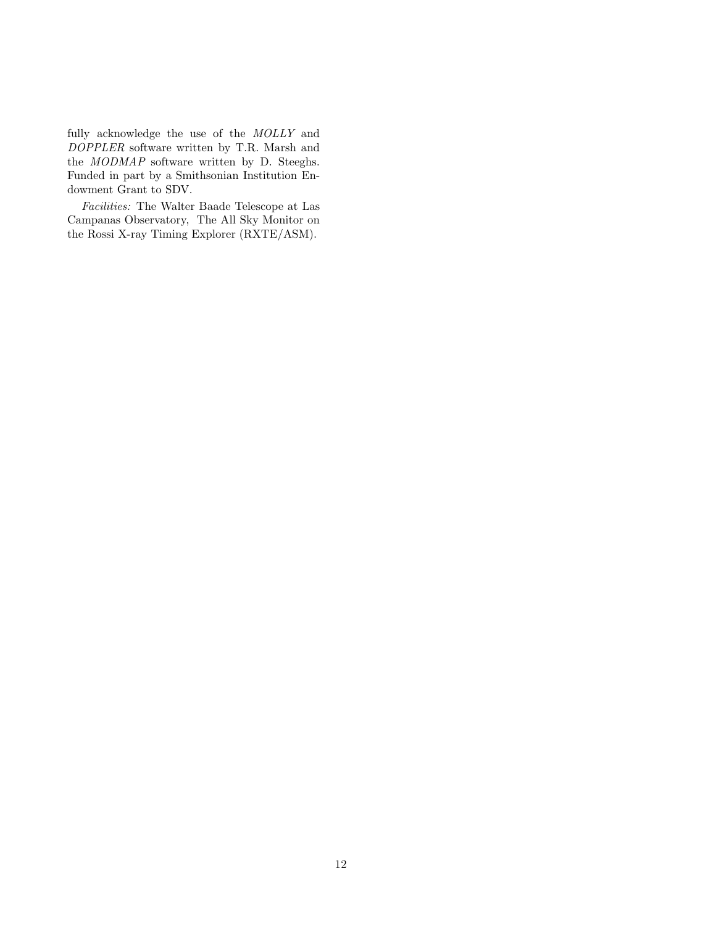fully acknowledge the use of the *MOLLY* and *DOPPLER* software written by T.R. Marsh and the *MODMAP* software written by D. Steeghs. Funded in part by a Smithsonian Institution Endowment Grant to SDV.

*Facilities:* The Walter Baade Telescope at Las Campanas Observatory, The All Sky Monitor on the Rossi X-ray Timing Explorer (RXTE/ASM).